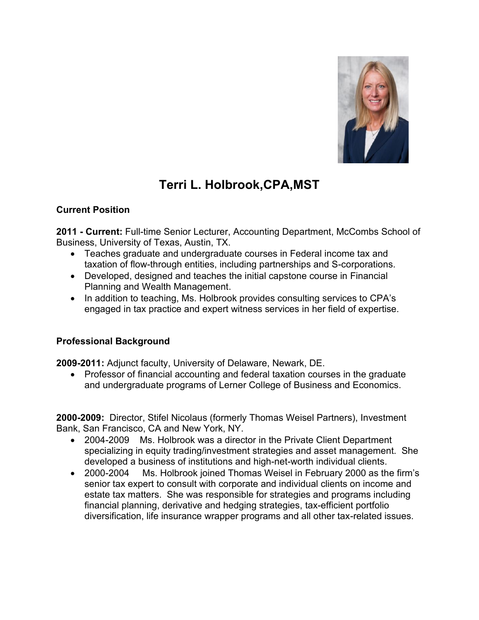

# **Terri L. Holbrook,CPA,MST**

## **Current Position**

**2011 - Current:** Full-time Senior Lecturer, Accounting Department, McCombs School of Business, University of Texas, Austin, TX.

- Teaches graduate and undergraduate courses in Federal income tax and taxation of flow-through entities, including partnerships and S-corporations.
- Developed, designed and teaches the initial capstone course in Financial Planning and Wealth Management.
- In addition to teaching, Ms. Holbrook provides consulting services to CPA's engaged in tax practice and expert witness services in her field of expertise.

## **Professional Background**

**2009-2011:** Adjunct faculty, University of Delaware, Newark, DE.

• Professor of financial accounting and federal taxation courses in the graduate and undergraduate programs of Lerner College of Business and Economics.

**2000-2009:** Director, Stifel Nicolaus (formerly Thomas Weisel Partners), Investment Bank, San Francisco, CA and New York, NY.

- 2004-2009 Ms. Holbrook was a director in the Private Client Department specializing in equity trading/investment strategies and asset management. She developed a business of institutions and high-net-worth individual clients.
- 2000-2004 Ms. Holbrook joined Thomas Weisel in February 2000 as the firm's senior tax expert to consult with corporate and individual clients on income and estate tax matters. She was responsible for strategies and programs including financial planning, derivative and hedging strategies, tax-efficient portfolio diversification, life insurance wrapper programs and all other tax-related issues.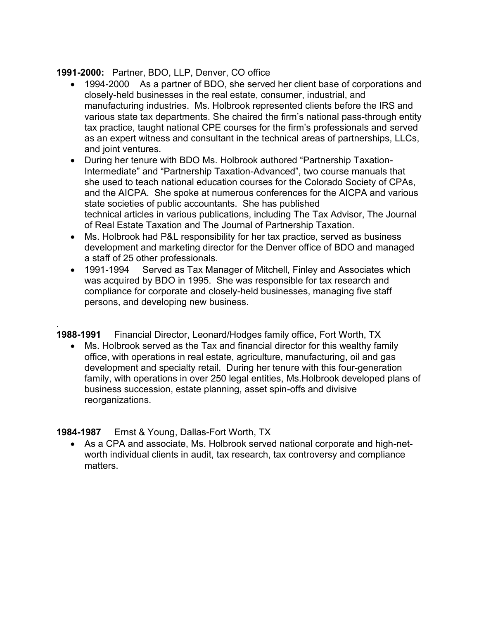## **1991-2000:** Partner, BDO, LLP, Denver, CO office

- 1994-2000 As a partner of BDO, she served her client base of corporations and closely-held businesses in the real estate, consumer, industrial, and manufacturing industries. Ms. Holbrook represented clients before the IRS and various state tax departments. She chaired the firm's national pass-through entity tax practice, taught national CPE courses for the firm's professionals and served as an expert witness and consultant in the technical areas of partnerships, LLCs, and joint ventures.
- During her tenure with BDO Ms. Holbrook authored "Partnership Taxation-Intermediate" and "Partnership Taxation-Advanced", two course manuals that she used to teach national education courses for the Colorado Society of CPAs, and the AICPA. She spoke at numerous conferences for the AICPA and various state societies of public accountants. She has published technical articles in various publications, including The Tax Advisor, The Journal of Real Estate Taxation and The Journal of Partnership Taxation.
- Ms. Holbrook had P&L responsibility for her tax practice, served as business development and marketing director for the Denver office of BDO and managed a staff of 25 other professionals.
- 1991-1994 Served as Tax Manager of Mitchell, Finley and Associates which was acquired by BDO in 1995. She was responsible for tax research and compliance for corporate and closely-held businesses, managing five staff persons, and developing new business.

. **1988-1991** Financial Director, Leonard/Hodges family office, Fort Worth, TX

• Ms. Holbrook served as the Tax and financial director for this wealthy family office, with operations in real estate, agriculture, manufacturing, oil and gas development and specialty retail. During her tenure with this four-generation family, with operations in over 250 legal entities, Ms.Holbrook developed plans of business succession, estate planning, asset spin-offs and divisive reorganizations.

## **1984-1987** Ernst & Young, Dallas-Fort Worth, TX

• As a CPA and associate, Ms. Holbrook served national corporate and high-networth individual clients in audit, tax research, tax controversy and compliance matters.